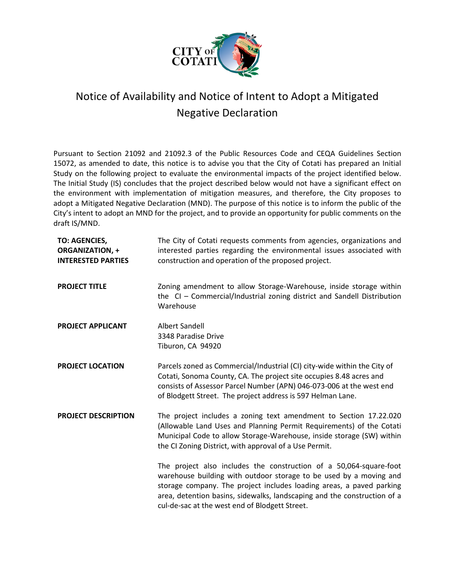

## Notice of Availability and Notice of Intent to Adopt a Mitigated Negative Declaration

Pursuant to Section 21092 and 21092.3 of the Public Resources Code and CEQA Guidelines Section 15072, as amended to date, this notice is to advise you that the City of Cotati has prepared an Initial Study on the following project to evaluate the environmental impacts of the project identified below. The Initial Study (IS) concludes that the project described below would not have a significant effect on the environment with implementation of mitigation measures, and therefore, the City proposes to adopt a Mitigated Negative Declaration (MND). The purpose of this notice is to inform the public of the City's intent to adopt an MND for the project, and to provide an opportunity for public comments on the draft IS/MND.

| <b>TO: AGENCIES,</b><br><b>ORGANIZATION, +</b><br><b>INTERESTED PARTIES</b> | The City of Cotati requests comments from agencies, organizations and<br>interested parties regarding the environmental issues associated with<br>construction and operation of the proposed project.                                                                                                                                          |
|-----------------------------------------------------------------------------|------------------------------------------------------------------------------------------------------------------------------------------------------------------------------------------------------------------------------------------------------------------------------------------------------------------------------------------------|
| <b>PROJECT TITLE</b>                                                        | Zoning amendment to allow Storage-Warehouse, inside storage within<br>the CI - Commercial/Industrial zoning district and Sandell Distribution<br>Warehouse                                                                                                                                                                                     |
| <b>PROJECT APPLICANT</b>                                                    | <b>Albert Sandell</b><br>3348 Paradise Drive<br>Tiburon, CA 94920                                                                                                                                                                                                                                                                              |
| <b>PROJECT LOCATION</b>                                                     | Parcels zoned as Commercial/Industrial (CI) city-wide within the City of<br>Cotati, Sonoma County, CA. The project site occupies 8.48 acres and<br>consists of Assessor Parcel Number (APN) 046-073-006 at the west end<br>of Blodgett Street. The project address is 597 Helman Lane.                                                         |
| <b>PROJECT DESCRIPTION</b>                                                  | The project includes a zoning text amendment to Section 17.22.020<br>(Allowable Land Uses and Planning Permit Requirements) of the Cotati<br>Municipal Code to allow Storage-Warehouse, inside storage (SW) within<br>the CI Zoning District, with approval of a Use Permit.                                                                   |
|                                                                             | The project also includes the construction of a 50,064-square-foot<br>warehouse building with outdoor storage to be used by a moving and<br>storage company. The project includes loading areas, a paved parking<br>area, detention basins, sidewalks, landscaping and the construction of a<br>cul-de-sac at the west end of Blodgett Street. |